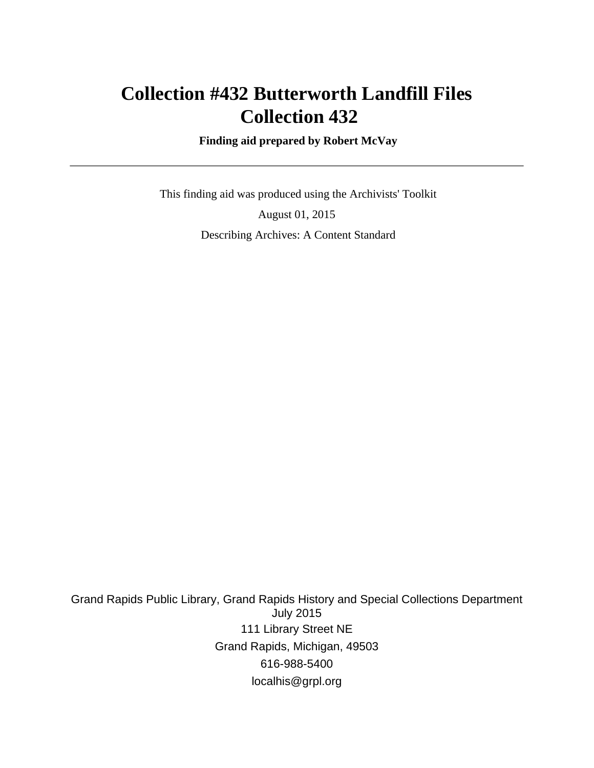# **Collection #432 Butterworth Landfill Files Collection 432**

 **Finding aid prepared by Robert McVay**

 This finding aid was produced using the Archivists' Toolkit August 01, 2015 Describing Archives: A Content Standard

Grand Rapids Public Library, Grand Rapids History and Special Collections Department July 2015 111 Library Street NE Grand Rapids, Michigan, 49503 616-988-5400 localhis@grpl.org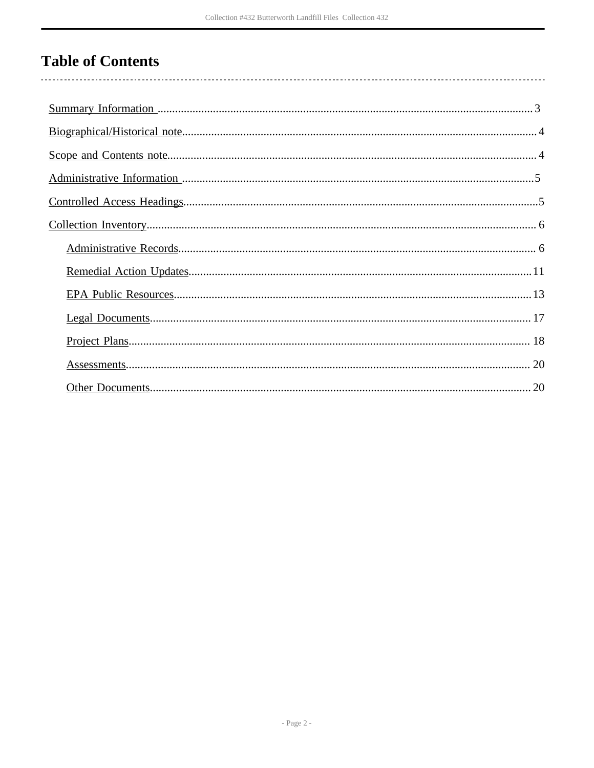# **Table of Contents**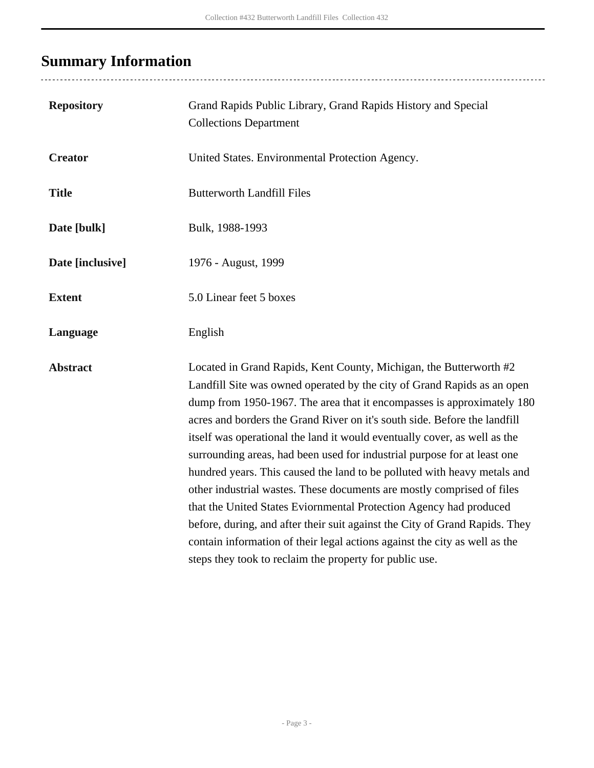# <span id="page-2-0"></span>**Summary Information**

| <b>Repository</b> | Grand Rapids Public Library, Grand Rapids History and Special<br><b>Collections Department</b>                                                                                                                                                                                                                                                                                                                                                                                                                                                                                                                                                                                                                                                                                                                                                                                                                    |
|-------------------|-------------------------------------------------------------------------------------------------------------------------------------------------------------------------------------------------------------------------------------------------------------------------------------------------------------------------------------------------------------------------------------------------------------------------------------------------------------------------------------------------------------------------------------------------------------------------------------------------------------------------------------------------------------------------------------------------------------------------------------------------------------------------------------------------------------------------------------------------------------------------------------------------------------------|
| <b>Creator</b>    | United States. Environmental Protection Agency.                                                                                                                                                                                                                                                                                                                                                                                                                                                                                                                                                                                                                                                                                                                                                                                                                                                                   |
| <b>Title</b>      | <b>Butterworth Landfill Files</b>                                                                                                                                                                                                                                                                                                                                                                                                                                                                                                                                                                                                                                                                                                                                                                                                                                                                                 |
| Date [bulk]       | Bulk, 1988-1993                                                                                                                                                                                                                                                                                                                                                                                                                                                                                                                                                                                                                                                                                                                                                                                                                                                                                                   |
| Date [inclusive]  | 1976 - August, 1999                                                                                                                                                                                                                                                                                                                                                                                                                                                                                                                                                                                                                                                                                                                                                                                                                                                                                               |
| <b>Extent</b>     | 5.0 Linear feet 5 boxes                                                                                                                                                                                                                                                                                                                                                                                                                                                                                                                                                                                                                                                                                                                                                                                                                                                                                           |
| Language          | English                                                                                                                                                                                                                                                                                                                                                                                                                                                                                                                                                                                                                                                                                                                                                                                                                                                                                                           |
| <b>Abstract</b>   | Located in Grand Rapids, Kent County, Michigan, the Butterworth #2<br>Landfill Site was owned operated by the city of Grand Rapids as an open<br>dump from 1950-1967. The area that it encompasses is approximately 180<br>acres and borders the Grand River on it's south side. Before the landfill<br>itself was operational the land it would eventually cover, as well as the<br>surrounding areas, had been used for industrial purpose for at least one<br>hundred years. This caused the land to be polluted with heavy metals and<br>other industrial wastes. These documents are mostly comprised of files<br>that the United States Eviornmental Protection Agency had produced<br>before, during, and after their suit against the City of Grand Rapids. They<br>contain information of their legal actions against the city as well as the<br>steps they took to reclaim the property for public use. |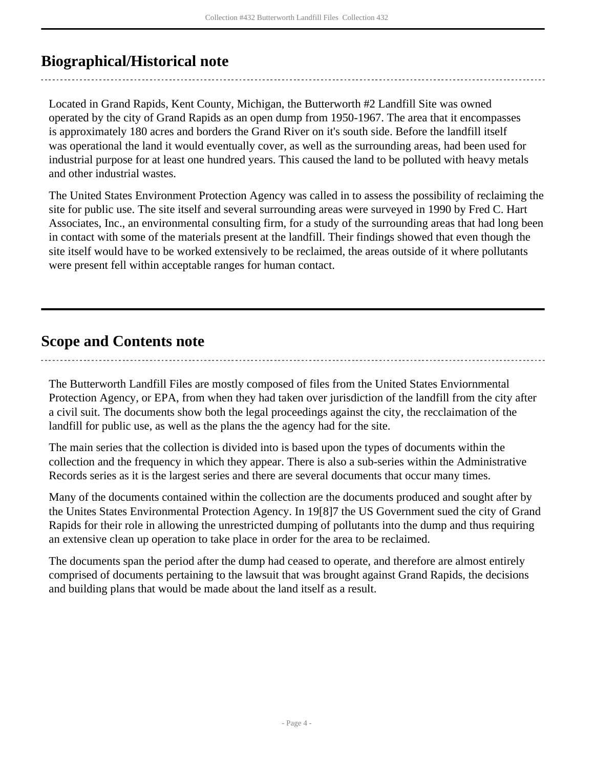## <span id="page-3-0"></span>**Biographical/Historical note**

Located in Grand Rapids, Kent County, Michigan, the Butterworth #2 Landfill Site was owned operated by the city of Grand Rapids as an open dump from 1950-1967. The area that it encompasses is approximately 180 acres and borders the Grand River on it's south side. Before the landfill itself was operational the land it would eventually cover, as well as the surrounding areas, had been used for industrial purpose for at least one hundred years. This caused the land to be polluted with heavy metals and other industrial wastes.

The United States Environment Protection Agency was called in to assess the possibility of reclaiming the site for public use. The site itself and several surrounding areas were surveyed in 1990 by Fred C. Hart Associates, Inc., an environmental consulting firm, for a study of the surrounding areas that had long been in contact with some of the materials present at the landfill. Their findings showed that even though the site itself would have to be worked extensively to be reclaimed, the areas outside of it where pollutants were present fell within acceptable ranges for human contact.

## <span id="page-3-1"></span>**Scope and Contents note**

The Butterworth Landfill Files are mostly composed of files from the United States Enviornmental Protection Agency, or EPA, from when they had taken over jurisdiction of the landfill from the city after a civil suit. The documents show both the legal proceedings against the city, the recclaimation of the landfill for public use, as well as the plans the the agency had for the site.

The main series that the collection is divided into is based upon the types of documents within the collection and the frequency in which they appear. There is also a sub-series within the Administrative Records series as it is the largest series and there are several documents that occur many times.

Many of the documents contained within the collection are the documents produced and sought after by the Unites States Environmental Protection Agency. In 19[8]7 the US Government sued the city of Grand Rapids for their role in allowing the unrestricted dumping of pollutants into the dump and thus requiring an extensive clean up operation to take place in order for the area to be reclaimed.

The documents span the period after the dump had ceased to operate, and therefore are almost entirely comprised of documents pertaining to the lawsuit that was brought against Grand Rapids, the decisions and building plans that would be made about the land itself as a result.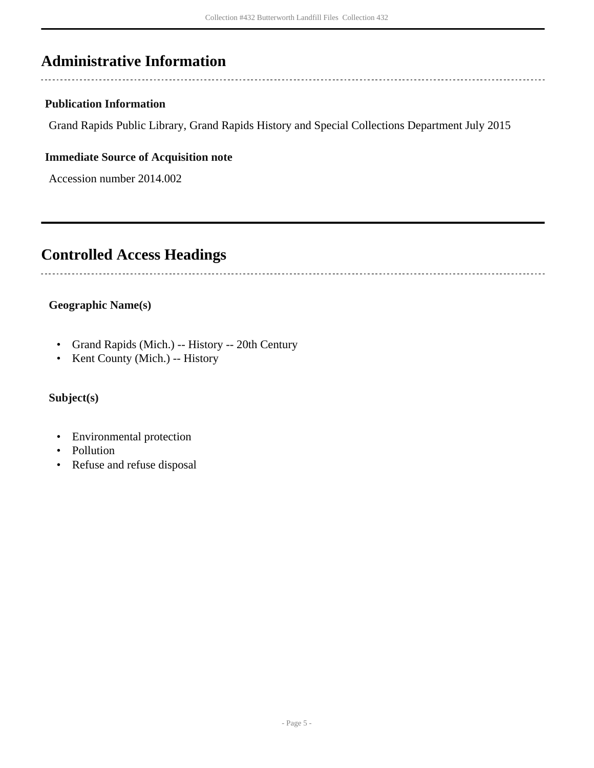## <span id="page-4-0"></span>**Administrative Information**

### **Publication Information**

Grand Rapids Public Library, Grand Rapids History and Special Collections Department July 2015

#### **Immediate Source of Acquisition note**

Accession number 2014.002

## <span id="page-4-1"></span>**Controlled Access Headings**

## **Geographic Name(s)**

- Grand Rapids (Mich.) -- History -- 20th Century
- Kent County (Mich.) -- History

## **Subject(s)**

- Environmental protection
- Pollution
- Refuse and refuse disposal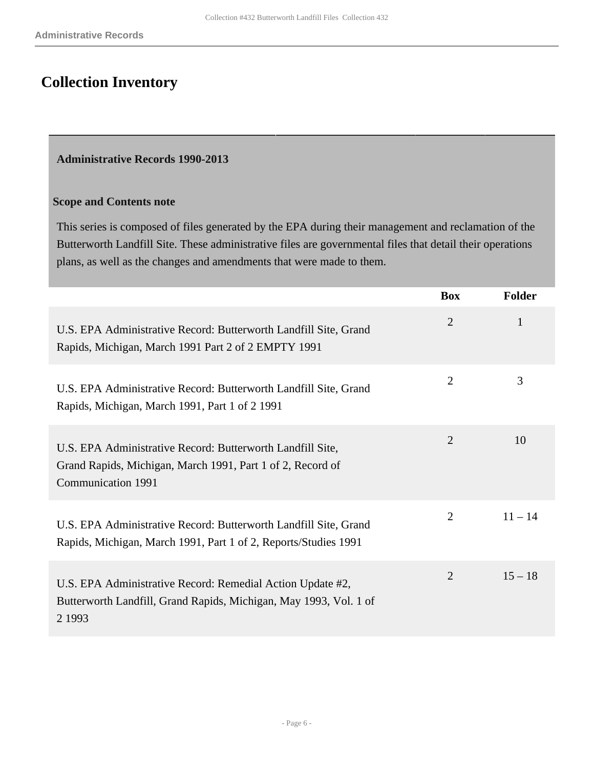## <span id="page-5-0"></span>**Collection Inventory**

#### <span id="page-5-1"></span>**Administrative Records 1990-2013**

#### **Scope and Contents note**

This series is composed of files generated by the EPA during their management and reclamation of the Butterworth Landfill Site. These administrative files are governmental files that detail their operations plans, as well as the changes and amendments that were made to them.

|                                                                                                                                                       | <b>Box</b>     | <b>Folder</b> |
|-------------------------------------------------------------------------------------------------------------------------------------------------------|----------------|---------------|
| U.S. EPA Administrative Record: Butterworth Landfill Site, Grand<br>Rapids, Michigan, March 1991 Part 2 of 2 EMPTY 1991                               | $\overline{2}$ | 1             |
| U.S. EPA Administrative Record: Butterworth Landfill Site, Grand<br>Rapids, Michigan, March 1991, Part 1 of 2 1991                                    | $\overline{2}$ | 3             |
| U.S. EPA Administrative Record: Butterworth Landfill Site,<br>Grand Rapids, Michigan, March 1991, Part 1 of 2, Record of<br><b>Communication 1991</b> | $\overline{2}$ | 10            |
| U.S. EPA Administrative Record: Butterworth Landfill Site, Grand<br>Rapids, Michigan, March 1991, Part 1 of 2, Reports/Studies 1991                   | 2              | $11 - 14$     |
| U.S. EPA Administrative Record: Remedial Action Update #2,<br>Butterworth Landfill, Grand Rapids, Michigan, May 1993, Vol. 1 of<br>2 1993             | $\overline{2}$ | $15 - 18$     |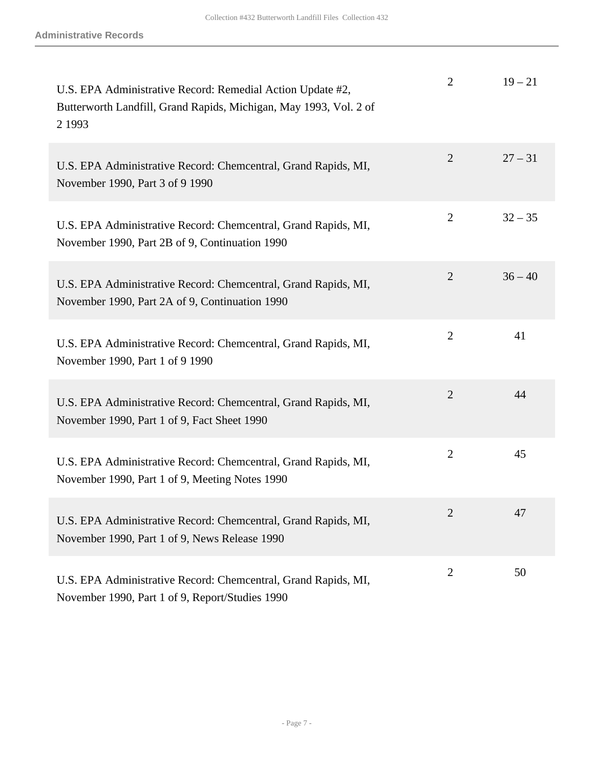| U.S. EPA Administrative Record: Remedial Action Update #2,<br>Butterworth Landfill, Grand Rapids, Michigan, May 1993, Vol. 2 of<br>2 1993 | $\overline{2}$ | $19 - 21$ |
|-------------------------------------------------------------------------------------------------------------------------------------------|----------------|-----------|
| U.S. EPA Administrative Record: Chemcentral, Grand Rapids, MI,<br>November 1990, Part 3 of 9 1990                                         | $\overline{2}$ | $27 - 31$ |
| U.S. EPA Administrative Record: Chemcentral, Grand Rapids, MI,<br>November 1990, Part 2B of 9, Continuation 1990                          | $\overline{2}$ | $32 - 35$ |
| U.S. EPA Administrative Record: Chemcentral, Grand Rapids, MI,<br>November 1990, Part 2A of 9, Continuation 1990                          | 2              | $36 - 40$ |
| U.S. EPA Administrative Record: Chemcentral, Grand Rapids, MI,<br>November 1990, Part 1 of 9 1990                                         | $\overline{2}$ | 41        |
| U.S. EPA Administrative Record: Chemcentral, Grand Rapids, MI,<br>November 1990, Part 1 of 9, Fact Sheet 1990                             | $\overline{2}$ | 44        |
| U.S. EPA Administrative Record: Chemcentral, Grand Rapids, MI,<br>November 1990, Part 1 of 9, Meeting Notes 1990                          | $\overline{2}$ | 45        |
| U.S. EPA Administrative Record: Chemcentral, Grand Rapids, MI,<br>November 1990, Part 1 of 9, News Release 1990                           | 2              | 47        |
| U.S. EPA Administrative Record: Chemcentral, Grand Rapids, MI,<br>November 1990, Part 1 of 9, Report/Studies 1990                         | $\overline{2}$ | 50        |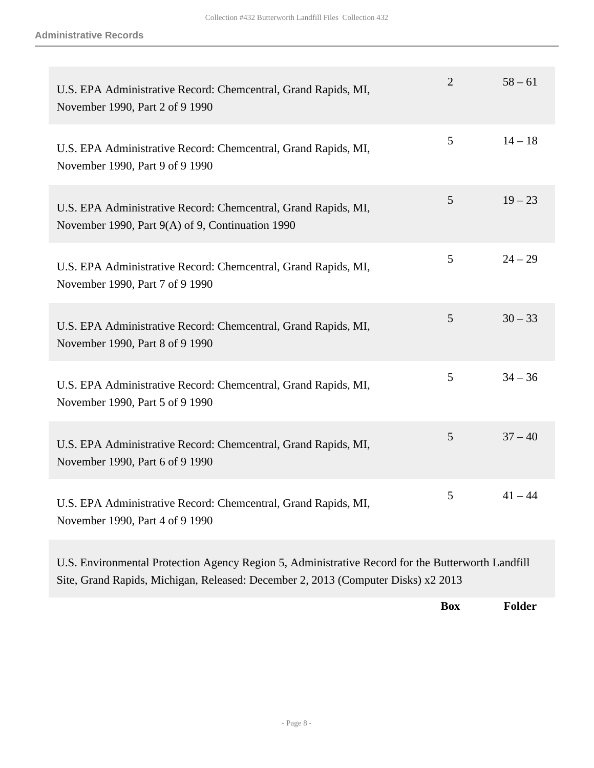| U.S. EPA Administrative Record: Chemcentral, Grand Rapids, MI,<br>November 1990, Part 2 of 9 1990                  | $\overline{2}$ | $58 - 61$ |
|--------------------------------------------------------------------------------------------------------------------|----------------|-----------|
| U.S. EPA Administrative Record: Chemcentral, Grand Rapids, MI,<br>November 1990, Part 9 of 9 1990                  | 5              | $14 - 18$ |
| U.S. EPA Administrative Record: Chemcentral, Grand Rapids, MI,<br>November 1990, Part 9(A) of 9, Continuation 1990 | 5              | $19 - 23$ |
| U.S. EPA Administrative Record: Chemcentral, Grand Rapids, MI,<br>November 1990, Part 7 of 9 1990                  | 5              | $24 - 29$ |
| U.S. EPA Administrative Record: Chemcentral, Grand Rapids, MI,<br>November 1990, Part 8 of 9 1990                  | 5              | $30 - 33$ |
| U.S. EPA Administrative Record: Chemcentral, Grand Rapids, MI,<br>November 1990, Part 5 of 9 1990                  | 5              | $34 - 36$ |
| U.S. EPA Administrative Record: Chemcentral, Grand Rapids, MI,<br>November 1990, Part 6 of 9 1990                  | 5              | $37 - 40$ |
| U.S. EPA Administrative Record: Chemcentral, Grand Rapids, MI,<br>November 1990, Part 4 of 9 1990                  | 5              | $41 - 44$ |

U.S. Environmental Protection Agency Region 5, Administrative Record for the Butterworth Landfill Site, Grand Rapids, Michigan, Released: December 2, 2013 (Computer Disks) x2 2013

**Box Folder**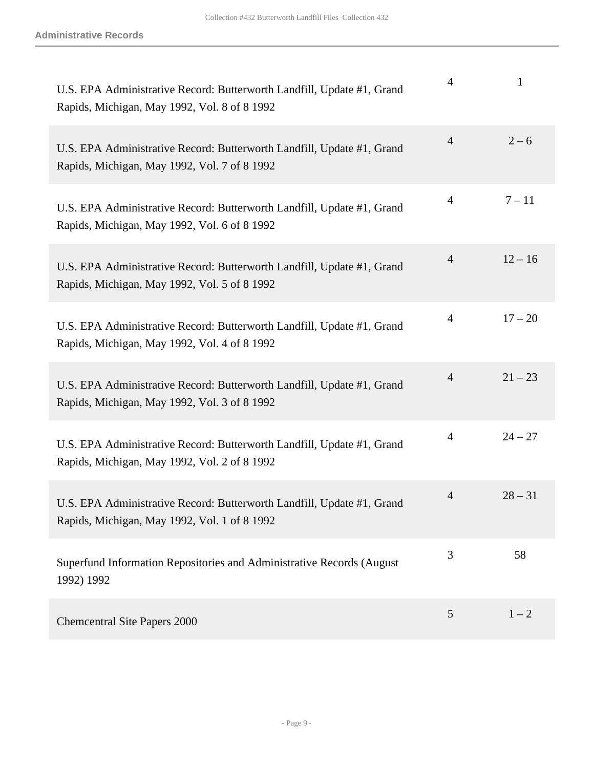| U.S. EPA Administrative Record: Butterworth Landfill, Update #1, Grand<br>Rapids, Michigan, May 1992, Vol. 8 of 8 1992 | $\overline{4}$ | 1         |
|------------------------------------------------------------------------------------------------------------------------|----------------|-----------|
| U.S. EPA Administrative Record: Butterworth Landfill, Update #1, Grand<br>Rapids, Michigan, May 1992, Vol. 7 of 8 1992 | $\overline{4}$ | $2 - 6$   |
| U.S. EPA Administrative Record: Butterworth Landfill, Update #1, Grand<br>Rapids, Michigan, May 1992, Vol. 6 of 8 1992 | $\overline{4}$ | $7 - 11$  |
| U.S. EPA Administrative Record: Butterworth Landfill, Update #1, Grand<br>Rapids, Michigan, May 1992, Vol. 5 of 8 1992 | $\overline{4}$ | $12 - 16$ |
| U.S. EPA Administrative Record: Butterworth Landfill, Update #1, Grand<br>Rapids, Michigan, May 1992, Vol. 4 of 8 1992 | $\overline{4}$ | $17 - 20$ |
| U.S. EPA Administrative Record: Butterworth Landfill, Update #1, Grand<br>Rapids, Michigan, May 1992, Vol. 3 of 8 1992 | $\overline{4}$ | $21 - 23$ |
| U.S. EPA Administrative Record: Butterworth Landfill, Update #1, Grand<br>Rapids, Michigan, May 1992, Vol. 2 of 8 1992 | $\overline{4}$ | $24 - 27$ |
| U.S. EPA Administrative Record: Butterworth Landfill, Update #1, Grand<br>Rapids, Michigan, May 1992, Vol. 1 of 8 1992 | $\overline{4}$ | $28 - 31$ |
| Superfund Information Repositories and Administrative Records (August<br>1992) 1992                                    | 3              | 58        |
| <b>Chemcentral Site Papers 2000</b>                                                                                    | 5              | $1 - 2$   |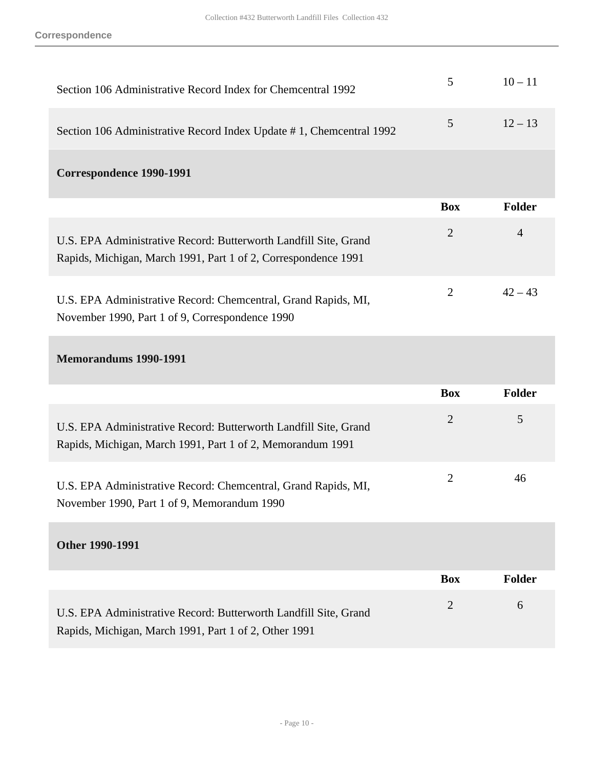**Correspondence**

| Section 106 Administrative Record Index for Chemcentral 1992                                                                       | 5              | $10 - 11$      |
|------------------------------------------------------------------------------------------------------------------------------------|----------------|----------------|
| Section 106 Administrative Record Index Update #1, Chemcentral 1992                                                                | 5              | $12 - 13$      |
| <b>Correspondence 1990-1991</b>                                                                                                    |                |                |
|                                                                                                                                    | <b>Box</b>     | <b>Folder</b>  |
| U.S. EPA Administrative Record: Butterworth Landfill Site, Grand<br>Rapids, Michigan, March 1991, Part 1 of 2, Correspondence 1991 | $\overline{2}$ | $\overline{4}$ |
| U.S. EPA Administrative Record: Chemcentral, Grand Rapids, MI,<br>November 1990, Part 1 of 9, Correspondence 1990                  | $\overline{2}$ | $42 - 43$      |
| <b>Memorandums 1990-1991</b>                                                                                                       |                |                |
|                                                                                                                                    | <b>Box</b>     | <b>Folder</b>  |
| U.S. EPA Administrative Record: Butterworth Landfill Site, Grand<br>Rapids, Michigan, March 1991, Part 1 of 2, Memorandum 1991     | $\overline{2}$ | 5              |
| U.S. EPA Administrative Record: Chemcentral, Grand Rapids, MI,<br>November 1990, Part 1 of 9, Memorandum 1990                      | $\overline{2}$ | 46             |
| <b>Other 1990-1991</b>                                                                                                             |                |                |
|                                                                                                                                    | <b>Box</b>     | <b>Folder</b>  |
| U.S. EPA Administrative Record: Butterworth Landfill Site, Grand<br>Rapids, Michigan, March 1991, Part 1 of 2, Other 1991          | $\overline{2}$ | 6              |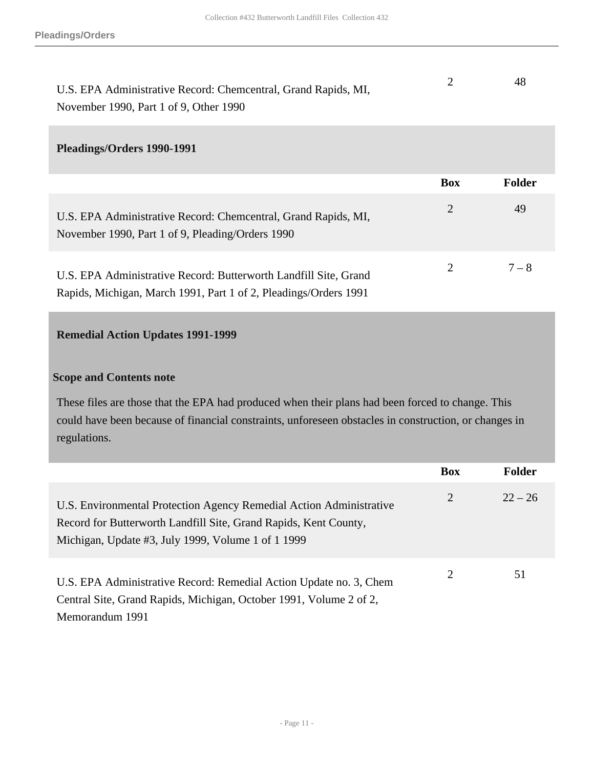| U.S. EPA Administrative Record: Chemcentral, Grand Rapids, MI, | 48 |
|----------------------------------------------------------------|----|
| November 1990, Part 1 of 9, Other 1990                         |    |

#### **Pleadings/Orders 1990-1991**

|                                                                                                                                      | <b>Box</b> | <b>Folder</b> |
|--------------------------------------------------------------------------------------------------------------------------------------|------------|---------------|
| U.S. EPA Administrative Record: Chemcentral, Grand Rapids, MI,<br>November 1990, Part 1 of 9, Pleading/Orders 1990                   | 2          | 49            |
| U.S. EPA Administrative Record: Butterworth Landfill Site, Grand<br>Rapids, Michigan, March 1991, Part 1 of 2, Pleadings/Orders 1991 | 2          | $7 - 8$       |

### <span id="page-10-0"></span>**Remedial Action Updates 1991-1999**

### **Scope and Contents note**

These files are those that the EPA had produced when their plans had been forced to change. This could have been because of financial constraints, unforeseen obstacles in construction, or changes in regulations.

|                                                                                                                                                                                               | <b>Box</b> | <b>Folder</b> |
|-----------------------------------------------------------------------------------------------------------------------------------------------------------------------------------------------|------------|---------------|
| U.S. Environmental Protection Agency Remedial Action Administrative<br>Record for Butterworth Landfill Site, Grand Rapids, Kent County,<br>Michigan, Update #3, July 1999, Volume 1 of 1 1999 | 2          | $22 - 26$     |
| U.S. EPA Administrative Record: Remedial Action Update no. 3, Chem<br>Central Site, Grand Rapids, Michigan, October 1991, Volume 2 of 2,<br>Memorandum 1991                                   | 2          | 51            |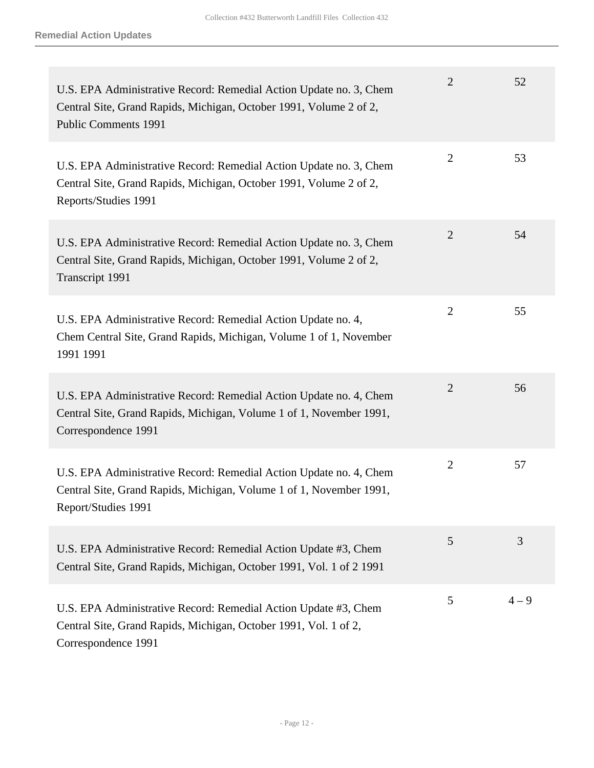| U.S. EPA Administrative Record: Remedial Action Update no. 3, Chem<br>Central Site, Grand Rapids, Michigan, October 1991, Volume 2 of 2,<br><b>Public Comments 1991</b> | $\overline{2}$ | 52      |
|-------------------------------------------------------------------------------------------------------------------------------------------------------------------------|----------------|---------|
| U.S. EPA Administrative Record: Remedial Action Update no. 3, Chem<br>Central Site, Grand Rapids, Michigan, October 1991, Volume 2 of 2,<br>Reports/Studies 1991        | $\overline{2}$ | 53      |
| U.S. EPA Administrative Record: Remedial Action Update no. 3, Chem<br>Central Site, Grand Rapids, Michigan, October 1991, Volume 2 of 2,<br>Transcript 1991             | $\overline{2}$ | 54      |
| U.S. EPA Administrative Record: Remedial Action Update no. 4,<br>Chem Central Site, Grand Rapids, Michigan, Volume 1 of 1, November<br>1991 1991                        | $\overline{2}$ | 55      |
| U.S. EPA Administrative Record: Remedial Action Update no. 4, Chem<br>Central Site, Grand Rapids, Michigan, Volume 1 of 1, November 1991,<br>Correspondence 1991        | $\overline{2}$ | 56      |
| U.S. EPA Administrative Record: Remedial Action Update no. 4, Chem<br>Central Site, Grand Rapids, Michigan, Volume 1 of 1, November 1991,<br>Report/Studies 1991        | $\overline{2}$ | 57      |
| U.S. EPA Administrative Record: Remedial Action Update #3, Chem<br>Central Site, Grand Rapids, Michigan, October 1991, Vol. 1 of 2 1991                                 | 5              | 3       |
| U.S. EPA Administrative Record: Remedial Action Update #3, Chem<br>Central Site, Grand Rapids, Michigan, October 1991, Vol. 1 of 2,<br>Correspondence 1991              | 5              | $4 - 9$ |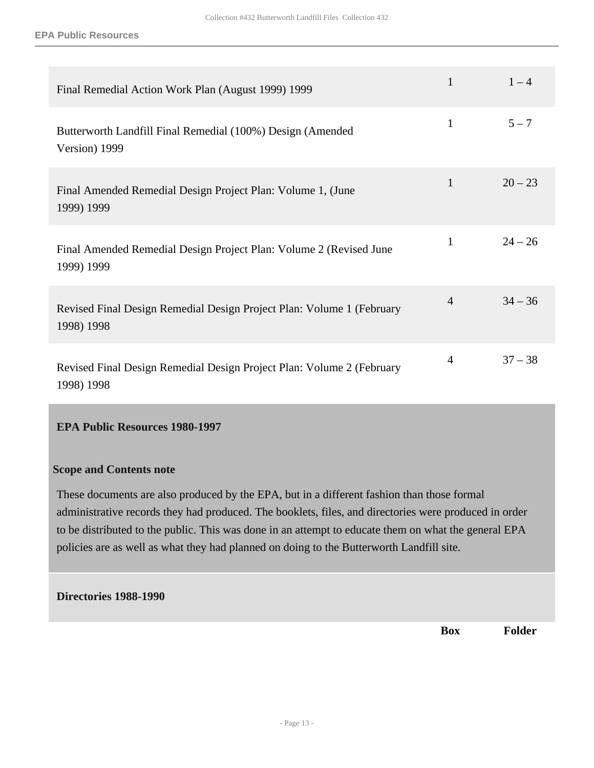| Final Remedial Action Work Plan (August 1999) 1999                                  | $\mathbf{1}$   | $1 - 4$   |
|-------------------------------------------------------------------------------------|----------------|-----------|
| Butterworth Landfill Final Remedial (100%) Design (Amended<br>Version) 1999         | $\mathbf{1}$   | $5 - 7$   |
| Final Amended Remedial Design Project Plan: Volume 1, (June<br>1999) 1999           | $\mathbf{1}$   | $20 - 23$ |
| Final Amended Remedial Design Project Plan: Volume 2 (Revised June<br>1999) 1999    | $\mathbf{1}$   | $24 - 26$ |
| Revised Final Design Remedial Design Project Plan: Volume 1 (February<br>1998) 1998 | $\overline{4}$ | $34 - 36$ |
| Revised Final Design Remedial Design Project Plan: Volume 2 (February<br>1998) 1998 | $\overline{4}$ | $37 - 38$ |

#### <span id="page-12-0"></span>**EPA Public Resources 1980-1997**

#### **Scope and Contents note**

These documents are also produced by the EPA, but in a different fashion than those formal administrative records they had produced. The booklets, files, and directories were produced in order to be distributed to the public. This was done in an attempt to educate them on what the general EPA policies are as well as what they had planned on doing to the Butterworth Landfill site.

#### **Directories 1988-1990**

**Box Folder**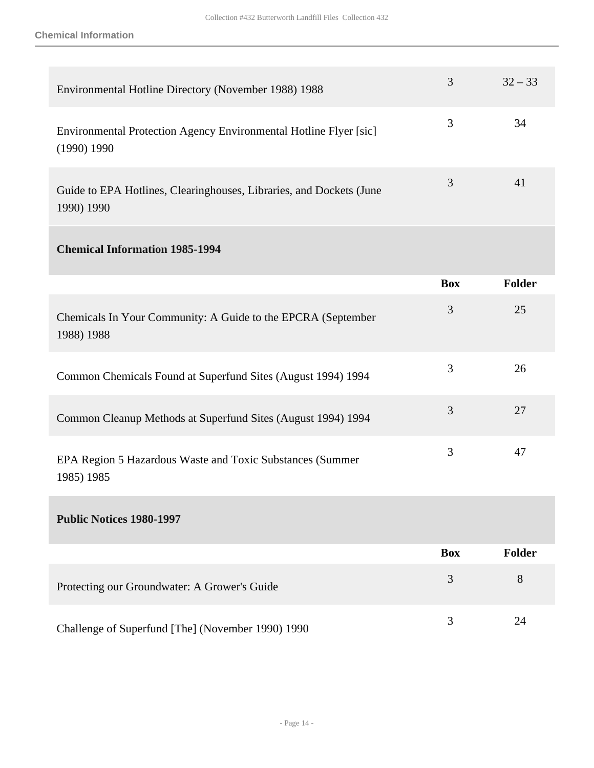| Environmental Hotline Directory (November 1988) 1988                              | 3          | $32 - 33$     |
|-----------------------------------------------------------------------------------|------------|---------------|
| Environmental Protection Agency Environmental Hotline Flyer [sic]<br>(1990) 1990  | 3          | 34            |
| Guide to EPA Hotlines, Clearinghouses, Libraries, and Dockets (June<br>1990) 1990 | 3          | 41            |
| <b>Chemical Information 1985-1994</b>                                             |            |               |
|                                                                                   | <b>Box</b> | <b>Folder</b> |
| Chemicals In Your Community: A Guide to the EPCRA (September<br>1988) 1988        | 3          | 25            |
| Common Chemicals Found at Superfund Sites (August 1994) 1994                      | 3          | 26            |
| Common Cleanup Methods at Superfund Sites (August 1994) 1994                      | 3          | 27            |
| EPA Region 5 Hazardous Waste and Toxic Substances (Summer<br>1985) 1985           | 3          | 47            |
| <b>Public Notices 1980-1997</b>                                                   |            |               |
|                                                                                   | <b>Box</b> | <b>Folder</b> |
| Protecting our Groundwater: A Grower's Guide                                      | 3          | 8             |
| Challenge of Superfund [The] (November 1990) 1990                                 | 3          | 24            |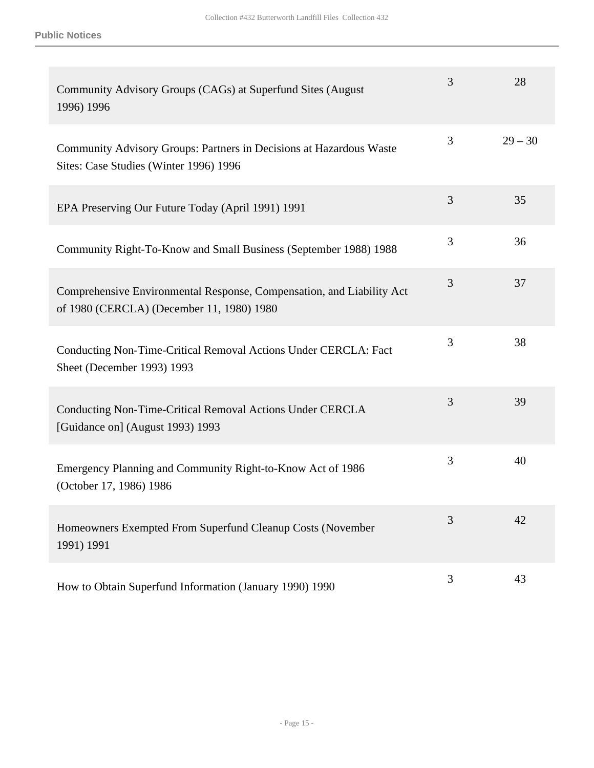| Community Advisory Groups (CAGs) at Superfund Sites (August<br>1996) 1996                                          | 3 | 28        |
|--------------------------------------------------------------------------------------------------------------------|---|-----------|
| Community Advisory Groups: Partners in Decisions at Hazardous Waste<br>Sites: Case Studies (Winter 1996) 1996      | 3 | $29 - 30$ |
| EPA Preserving Our Future Today (April 1991) 1991                                                                  | 3 | 35        |
| Community Right-To-Know and Small Business (September 1988) 1988                                                   | 3 | 36        |
| Comprehensive Environmental Response, Compensation, and Liability Act<br>of 1980 (CERCLA) (December 11, 1980) 1980 | 3 | 37        |
| Conducting Non-Time-Critical Removal Actions Under CERCLA: Fact<br>Sheet (December 1993) 1993                      | 3 | 38        |
| Conducting Non-Time-Critical Removal Actions Under CERCLA<br>[Guidance on] (August 1993) 1993                      | 3 | 39        |
| Emergency Planning and Community Right-to-Know Act of 1986<br>(October 17, 1986) 1986                              | 3 | 40        |
| Homeowners Exempted From Superfund Cleanup Costs (November<br>1991) 1991                                           | 3 | 42        |
| How to Obtain Superfund Information (January 1990) 1990                                                            | 3 | 43        |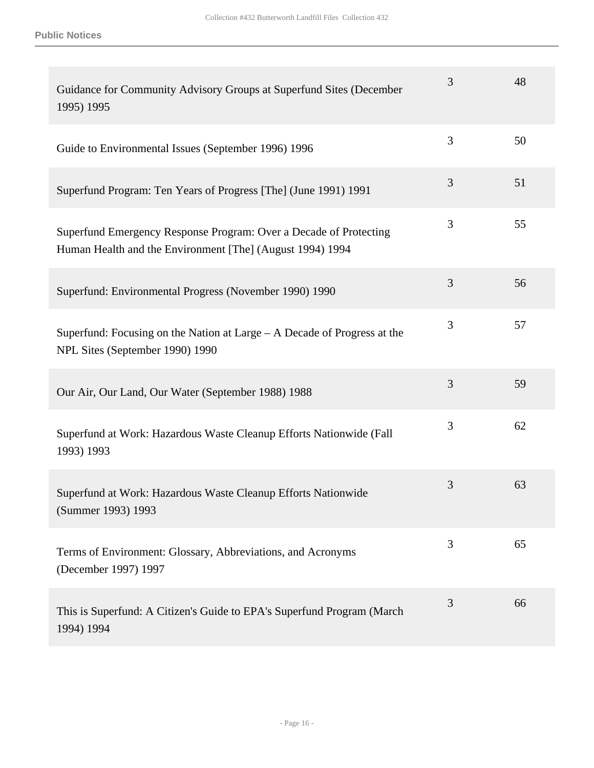| Guidance for Community Advisory Groups at Superfund Sites (December<br>1995) 1995                                              | 3 | 48 |
|--------------------------------------------------------------------------------------------------------------------------------|---|----|
| Guide to Environmental Issues (September 1996) 1996                                                                            | 3 | 50 |
| Superfund Program: Ten Years of Progress [The] (June 1991) 1991                                                                | 3 | 51 |
| Superfund Emergency Response Program: Over a Decade of Protecting<br>Human Health and the Environment [The] (August 1994) 1994 | 3 | 55 |
| Superfund: Environmental Progress (November 1990) 1990                                                                         | 3 | 56 |
| Superfund: Focusing on the Nation at Large $-$ A Decade of Progress at the<br>NPL Sites (September 1990) 1990                  | 3 | 57 |
| Our Air, Our Land, Our Water (September 1988) 1988                                                                             | 3 | 59 |
| Superfund at Work: Hazardous Waste Cleanup Efforts Nationwide (Fall<br>1993) 1993                                              | 3 | 62 |
| Superfund at Work: Hazardous Waste Cleanup Efforts Nationwide<br>(Summer 1993) 1993                                            | 3 | 63 |
| Terms of Environment: Glossary, Abbreviations, and Acronyms<br>(December 1997) 1997                                            | 3 | 65 |
| This is Superfund: A Citizen's Guide to EPA's Superfund Program (March<br>1994) 1994                                           | 3 | 66 |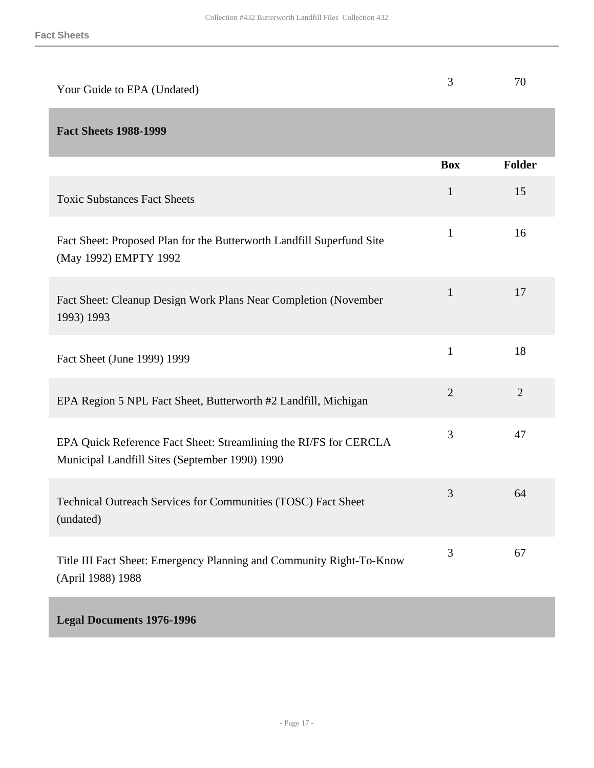<span id="page-16-0"></span>

| Your Guide to EPA (Undated)                                                                                         | 3              | 70             |
|---------------------------------------------------------------------------------------------------------------------|----------------|----------------|
| <b>Fact Sheets 1988-1999</b>                                                                                        |                |                |
|                                                                                                                     | <b>Box</b>     | <b>Folder</b>  |
| <b>Toxic Substances Fact Sheets</b>                                                                                 | $\mathbf{1}$   | 15             |
| Fact Sheet: Proposed Plan for the Butterworth Landfill Superfund Site<br>(May 1992) EMPTY 1992                      | $\mathbf{1}$   | 16             |
| Fact Sheet: Cleanup Design Work Plans Near Completion (November<br>1993) 1993                                       | $\mathbf{1}$   | 17             |
| Fact Sheet (June 1999) 1999                                                                                         | $\mathbf{1}$   | 18             |
| EPA Region 5 NPL Fact Sheet, Butterworth #2 Landfill, Michigan                                                      | $\overline{2}$ | $\overline{2}$ |
| EPA Quick Reference Fact Sheet: Streamlining the RI/FS for CERCLA<br>Municipal Landfill Sites (September 1990) 1990 | 3              | 47             |
| Technical Outreach Services for Communities (TOSC) Fact Sheet<br>(undated)                                          | 3              | 64             |
| Title III Fact Sheet: Emergency Planning and Community Right-To-Know<br>(April 1988) 1988                           | 3              | 67             |
| <b>Legal Documents 1976-1996</b>                                                                                    |                |                |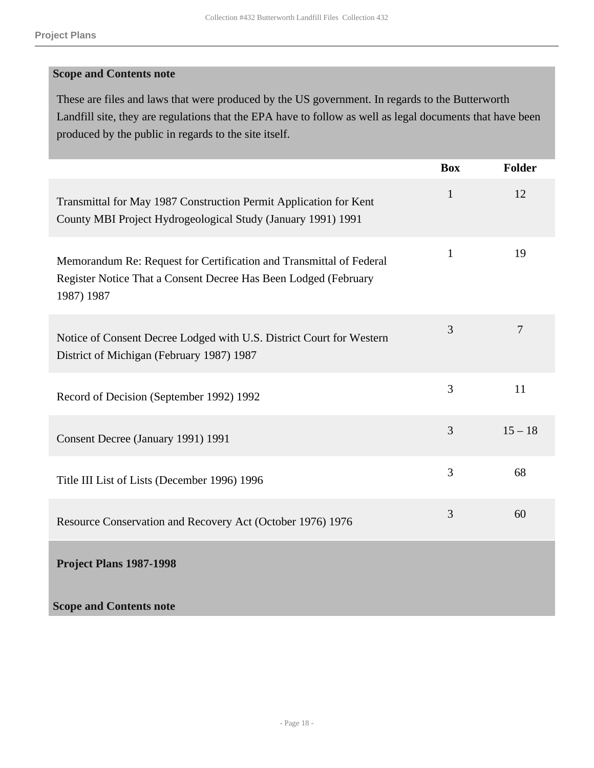#### **Scope and Contents note**

These are files and laws that were produced by the US government. In regards to the Butterworth Landfill site, they are regulations that the EPA have to follow as well as legal documents that have been produced by the public in regards to the site itself.

<span id="page-17-0"></span>

|                                                                                                                                                      | <b>Box</b>     | <b>Folder</b>  |
|------------------------------------------------------------------------------------------------------------------------------------------------------|----------------|----------------|
| Transmittal for May 1987 Construction Permit Application for Kent<br>County MBI Project Hydrogeological Study (January 1991) 1991                    | $\mathbf{1}$   | 12             |
| Memorandum Re: Request for Certification and Transmittal of Federal<br>Register Notice That a Consent Decree Has Been Lodged (February<br>1987) 1987 | $\mathbf{1}$   | 19             |
| Notice of Consent Decree Lodged with U.S. District Court for Western<br>District of Michigan (February 1987) 1987                                    | 3              | $\overline{7}$ |
| Record of Decision (September 1992) 1992                                                                                                             | 3              | 11             |
| Consent Decree (January 1991) 1991                                                                                                                   | 3              | $15 - 18$      |
| Title III List of Lists (December 1996) 1996                                                                                                         | $\overline{3}$ | 68             |
| Resource Conservation and Recovery Act (October 1976) 1976                                                                                           | 3              | 60             |
| Project Plans 1987-1998                                                                                                                              |                |                |
| <b>Scope and Contents note</b>                                                                                                                       |                |                |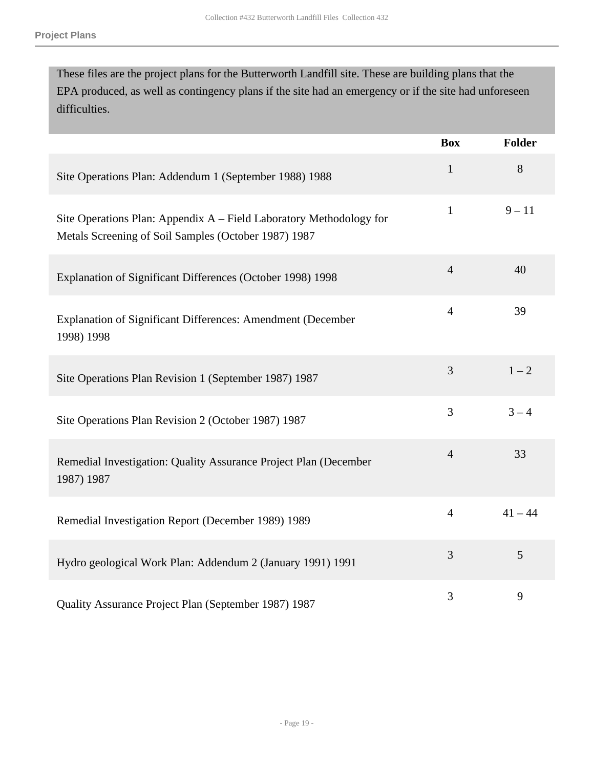These files are the project plans for the Butterworth Landfill site. These are building plans that the EPA produced, as well as contingency plans if the site had an emergency or if the site had unforeseen difficulties.

|                                                                                                                             | <b>Box</b>     | <b>Folder</b> |
|-----------------------------------------------------------------------------------------------------------------------------|----------------|---------------|
| Site Operations Plan: Addendum 1 (September 1988) 1988                                                                      | $\mathbf{1}$   | 8             |
| Site Operations Plan: Appendix A - Field Laboratory Methodology for<br>Metals Screening of Soil Samples (October 1987) 1987 | $\mathbf{1}$   | $9 - 11$      |
| Explanation of Significant Differences (October 1998) 1998                                                                  | $\overline{4}$ | 40            |
| Explanation of Significant Differences: Amendment (December<br>1998) 1998                                                   | $\overline{4}$ | 39            |
| Site Operations Plan Revision 1 (September 1987) 1987                                                                       | 3              | $1 - 2$       |
| Site Operations Plan Revision 2 (October 1987) 1987                                                                         | $\overline{3}$ | $3 - 4$       |
| Remedial Investigation: Quality Assurance Project Plan (December<br>1987) 1987                                              | $\overline{4}$ | 33            |
| Remedial Investigation Report (December 1989) 1989                                                                          | $\overline{4}$ | $41 - 44$     |
| Hydro geological Work Plan: Addendum 2 (January 1991) 1991                                                                  | 3              | 5             |
| Quality Assurance Project Plan (September 1987) 1987                                                                        | 3              | 9             |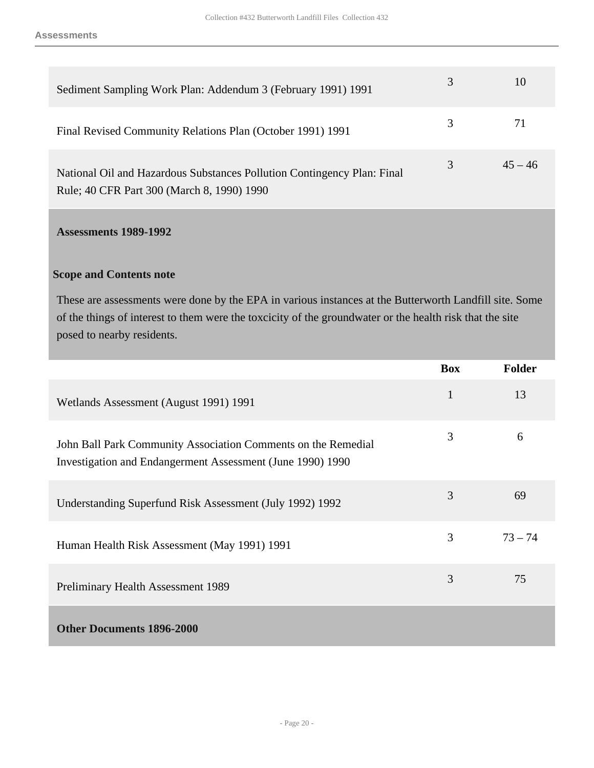| Sediment Sampling Work Plan: Addendum 3 (February 1991) 1991                                                          | 3 | 10        |
|-----------------------------------------------------------------------------------------------------------------------|---|-----------|
| Final Revised Community Relations Plan (October 1991) 1991                                                            | 3 |           |
| National Oil and Hazardous Substances Pollution Contingency Plan: Final<br>Rule; 40 CFR Part 300 (March 8, 1990) 1990 | 3 | $45 - 46$ |

### <span id="page-19-0"></span>**Assessments 1989-1992**

#### **Scope and Contents note**

These are assessments were done by the EPA in various instances at the Butterworth Landfill site. Some of the things of interest to them were the toxcicity of the groundwater or the health risk that the site posed to nearby residents.

<span id="page-19-1"></span>

|                                                                                                                             | <b>Box</b>   | <b>Folder</b> |
|-----------------------------------------------------------------------------------------------------------------------------|--------------|---------------|
| Wetlands Assessment (August 1991) 1991                                                                                      | $\mathbf{1}$ | 13            |
| John Ball Park Community Association Comments on the Remedial<br>Investigation and Endangerment Assessment (June 1990) 1990 | 3            | 6             |
| Understanding Superfund Risk Assessment (July 1992) 1992                                                                    | 3            | 69            |
| Human Health Risk Assessment (May 1991) 1991                                                                                | 3            | $73 - 74$     |
| Preliminary Health Assessment 1989                                                                                          | 3            | 75            |
| <b>Other Documents 1896-2000</b>                                                                                            |              |               |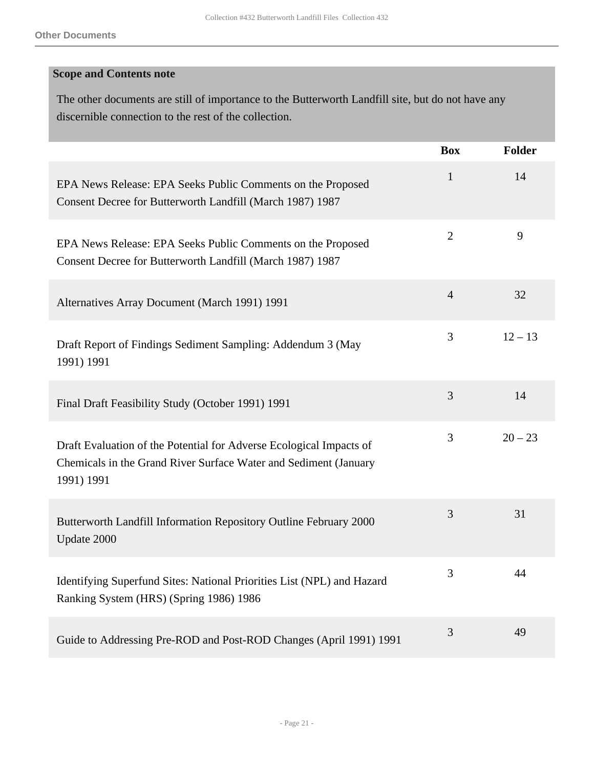### **Scope and Contents note**

The other documents are still of importance to the Butterworth Landfill site, but do not have any discernible connection to the rest of the collection.

|                                                                                                                                                       | <b>Box</b>     | <b>Folder</b> |
|-------------------------------------------------------------------------------------------------------------------------------------------------------|----------------|---------------|
| EPA News Release: EPA Seeks Public Comments on the Proposed<br>Consent Decree for Butterworth Landfill (March 1987) 1987                              | $\mathbf{1}$   | 14            |
| EPA News Release: EPA Seeks Public Comments on the Proposed<br>Consent Decree for Butterworth Landfill (March 1987) 1987                              | $\overline{2}$ | 9             |
| Alternatives Array Document (March 1991) 1991                                                                                                         | $\overline{4}$ | 32            |
| Draft Report of Findings Sediment Sampling: Addendum 3 (May<br>1991) 1991                                                                             | 3              | $12 - 13$     |
| Final Draft Feasibility Study (October 1991) 1991                                                                                                     | 3              | 14            |
| Draft Evaluation of the Potential for Adverse Ecological Impacts of<br>Chemicals in the Grand River Surface Water and Sediment (January<br>1991) 1991 | 3              | $20 - 23$     |
| Butterworth Landfill Information Repository Outline February 2000<br>Update 2000                                                                      | 3              | 31            |
| Identifying Superfund Sites: National Priorities List (NPL) and Hazard<br>Ranking System (HRS) (Spring 1986) 1986                                     | 3              | 44            |
| Guide to Addressing Pre-ROD and Post-ROD Changes (April 1991) 1991                                                                                    | 3              | 49            |